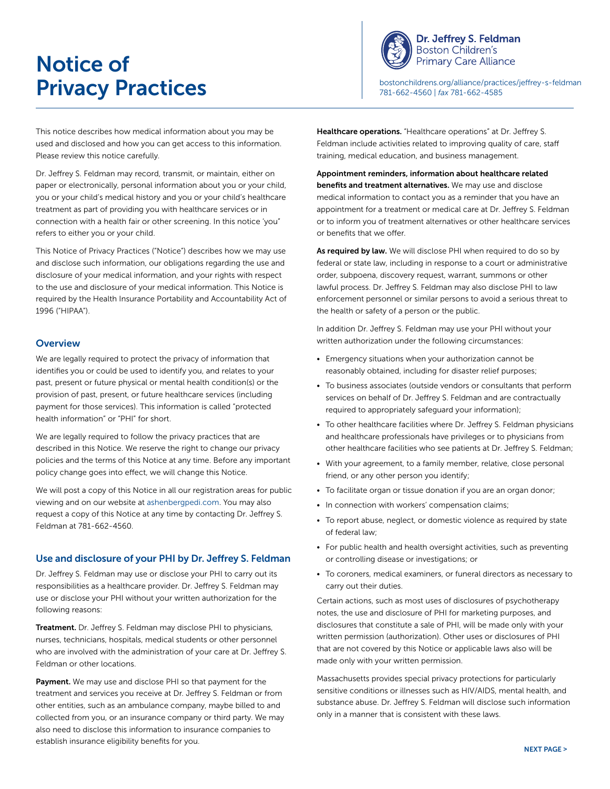# Notice of



Dr. Jeffrey S. Feldman **Boston Children's Primary Care Alliance** 

**Privacy Practices** and the state of the state of the state of the state of the state of the state of the state of the state of the state of the state of the state of the state of the state of the state of the state of the 781-662-4560 | *fax* 781-662-4585

This notice describes how medical information about you may be used and disclosed and how you can get access to this information. Please review this notice carefully.

Dr. Jeffrey S. Feldman may record, transmit, or maintain, either on paper or electronically, personal information about you or your child, you or your child's medical history and you or your child's healthcare treatment as part of providing you with healthcare services or in connection with a health fair or other screening. In this notice 'you" refers to either you or your child.

This Notice of Privacy Practices ("Notice") describes how we may use and disclose such information, our obligations regarding the use and disclosure of your medical information, and your rights with respect to the use and disclosure of your medical information. This Notice is required by the Health Insurance Portability and Accountability Act of 1996 ("HIPAA").

#### **Overview**

We are legally required to protect the privacy of information that identifies you or could be used to identify you, and relates to your past, present or future physical or mental health condition(s) or the provision of past, present, or future healthcare services (including payment for those services). This information is called "protected health information" or "PHI" for short.

We are legally required to follow the privacy practices that are described in this Notice. We reserve the right to change our privacy policies and the terms of this Notice at any time. Before any important policy change goes into effect, we will change this Notice.

We will post a copy of this Notice in all our registration areas for public viewing and on our website at [ashenbergpedi.com](http://www.ashenbergpedi.com). You may also request a copy of this Notice at any time by contacting Dr. Jeffrey S. Feldman at 781-662-4560.

#### Use and disclosure of your PHI by Dr. Jeffrey S. Feldman

Dr. Jeffrey S. Feldman may use or disclose your PHI to carry out its responsibilities as a healthcare provider. Dr. Jeffrey S. Feldman may use or disclose your PHI without your written authorization for the following reasons:

**Treatment.** Dr. Jeffrey S. Feldman may disclose PHI to physicians, nurses, technicians, hospitals, medical students or other personnel who are involved with the administration of your care at Dr. Jeffrey S. Feldman or other locations.

Payment. We may use and disclose PHI so that payment for the treatment and services you receive at Dr. Jeffrey S. Feldman or from other entities, such as an ambulance company, maybe billed to and collected from you, or an insurance company or third party. We may also need to disclose this information to insurance companies to establish insurance eligibility benefits for you.

Healthcare operations. "Healthcare operations" at Dr. Jeffrey S. Feldman include activities related to improving quality of care, staff training, medical education, and business management.

Appointment reminders, information about healthcare related benefits and treatment alternatives. We may use and disclose medical information to contact you as a reminder that you have an appointment for a treatment or medical care at Dr. Jeffrey S. Feldman or to inform you of treatment alternatives or other healthcare services or benefits that we offer.

As required by law. We will disclose PHI when required to do so by federal or state law, including in response to a court or administrative order, subpoena, discovery request, warrant, summons or other lawful process. Dr. Jeffrey S. Feldman may also disclose PHI to law enforcement personnel or similar persons to avoid a serious threat to the health or safety of a person or the public.

In addition Dr. Jeffrey S. Feldman may use your PHI without your written authorization under the following circumstances:

- Emergency situations when your authorization cannot be reasonably obtained, including for disaster relief purposes;
- To business associates (outside vendors or consultants that perform services on behalf of Dr. Jeffrey S. Feldman and are contractually required to appropriately safeguard your information);
- To other healthcare facilities where Dr. Jeffrey S. Feldman physicians and healthcare professionals have privileges or to physicians from other healthcare facilities who see patients at Dr. Jeffrey S. Feldman;
- With your agreement, to a family member, relative, close personal friend, or any other person you identify;
- To facilitate organ or tissue donation if you are an organ donor;
- In connection with workers' compensation claims;
- To report abuse, neglect, or domestic violence as required by state of federal law;
- For public health and health oversight activities, such as preventing or controlling disease or investigations; or
- To coroners, medical examiners, or funeral directors as necessary to carry out their duties.

Certain actions, such as most uses of disclosures of psychotherapy notes, the use and disclosure of PHI for marketing purposes, and disclosures that constitute a sale of PHI, will be made only with your written permission (authorization). Other uses or disclosures of PHI that are not covered by this Notice or applicable laws also will be made only with your written permission.

Massachusetts provides special privacy protections for particularly sensitive conditions or illnesses such as HIV/AIDS, mental health, and substance abuse. Dr. Jeffrey S. Feldman will disclose such information only in a manner that is consistent with these laws.